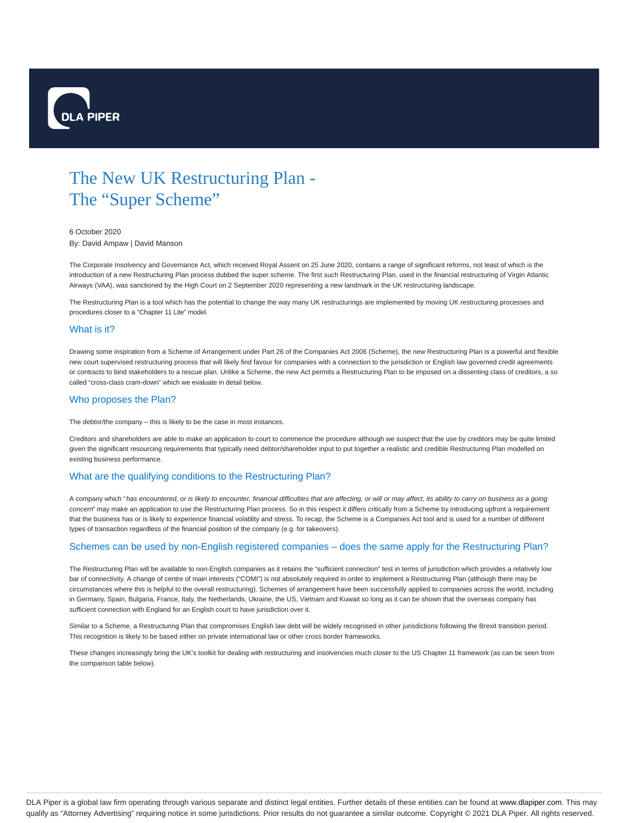

# The New UK Restructuring Plan - The "Super Scheme"

## 6 October 2020

By: David Ampaw | David Manson

The Corporate Insolvency and Governance Act, which received Royal Assent on 25 June 2020, contains a range of significant reforms, not least of which is the introduction of a new Restructuring Plan process dubbed the super scheme. The first such Restructuring Plan, used in the financial restructuring of Virgin Atlantic Airways (VAA), was sanctioned by the High Court on 2 September 2020 representing a new landmark in the UK restructuring landscape.

The Restructuring Plan is a tool which has the potential to change the way many UK restructurings are implemented by moving UK restructuring processes and procedures closer to a "Chapter 11 Lite" model.

## What is it?

Drawing some inspiration from a Scheme of Arrangement under Part 26 of the Companies Act 2006 (Scheme), the new Restructuring Plan is a powerful and flexible new court supervised restructuring process that will likely find favour for companies with a connection to the jurisdiction or English law governed credit agreements or contracts to bind stakeholders to a rescue plan. Unlike a Scheme, the new Act permits a Restructuring Plan to be imposed on a dissenting class of creditors, a so called "cross-class cram-down" which we evaluate in detail below.

## Who proposes the Plan?

The debtor/the company – this is likely to be the case in most instances.

Creditors and shareholders are able to make an application to court to commence the procedure although we suspect that the use by creditors may be quite limited given the significant resourcing requirements that typically need debtor/shareholder input to put together a realistic and credible Restructuring Plan modelled on existing business performance.

# What are the qualifying conditions to the Restructuring Plan?

A company which "has encountered, or is likely to encounter, financial difficulties that are affecting, or will or may affect, its ability to carry on business as a going concern" may make an application to use the Restructuring Plan process. So in this respect it differs critically from a Scheme by introducing upfront a requirement that the business has or is likely to experience financial volatility and stress. To recap, the Scheme is a Companies Act tool and is used for a number of different types of transaction regardless of the financial position of the company (e.g. for takeovers).

## Schemes can be used by non-English registered companies – does the same apply for the Restructuring Plan?

The Restructuring Plan will be available to non-English companies as it retains the "sufficient connection" test in terms of jurisdiction which provides a relatively low bar of connectivity. A change of centre of main interests ("COMI") is not absolutely required in order to implement a Restructuring Plan (although there may be circumstances where this is helpful to the overall restructuring). Schemes of arrangement have been successfully applied to companies across the world, including in Germany, Spain, Bulgaria, France, Italy, the Netherlands, Ukraine, the US, Vietnam and Kuwait so long as it can be shown that the overseas company has sufficient connection with England for an English court to have jurisdiction over it.

Similar to a Scheme, a Restructuring Plan that compromises English law debt will be widely recognised in other jurisdictions following the Brexit transition period. This recognition is likely to be based either on private international law or other cross border frameworks.

These changes increasingly bring the UK's toolkit for dealing with restructuring and insolvencies much closer to the US Chapter 11 framework (as can be seen from the comparison table below).

DLA Piper is a global law firm operating through various separate and distinct legal entities. Further details of these entities can be found at www.dlapiper.com. This may qualify as "Attorney Advertising" requiring notice in some jurisdictions. Prior results do not guarantee a similar outcome. Copyright @ 2021 DLA Piper. All rights reserved.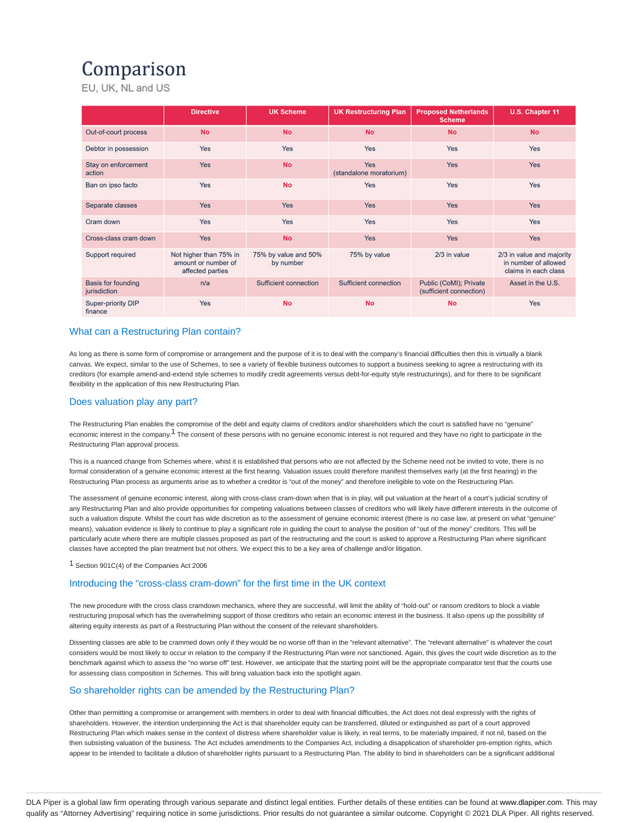# Comparison

EU, UK, NL and US

|                                    | <b>Directive</b>                                                  | <b>UK Scheme</b>                  | <b>UK Restructuring Plan</b>   | <b>Proposed Netherlands</b><br><b>Scheme</b>      | U.S. Chapter 11                                                           |
|------------------------------------|-------------------------------------------------------------------|-----------------------------------|--------------------------------|---------------------------------------------------|---------------------------------------------------------------------------|
| Out-of-court process               | <b>No</b>                                                         | <b>No</b>                         | <b>No</b>                      | <b>No</b>                                         | <b>No</b>                                                                 |
| Debtor in possession               | Yes                                                               | Yes                               | Yes                            | <b>Yes</b>                                        | Yes                                                                       |
| Stay on enforcement<br>action      | Yes                                                               | <b>No</b>                         | Yes<br>(standalone moratorium) | <b>Yes</b>                                        | Yes                                                                       |
| Ban on ipso facto                  | Yes                                                               | <b>No</b>                         | Yes                            | Yes                                               | Yes                                                                       |
| Separate classes                   | Yes                                                               | <b>Yes</b>                        | Yes                            | <b>Yes</b>                                        | <b>Yes</b>                                                                |
| Cram down                          | Yes                                                               | <b>Yes</b>                        | Yes                            | <b>Yes</b>                                        | Yes                                                                       |
| Cross-class cram down              | Yes                                                               | <b>No</b>                         | Yes                            | Yes                                               | <b>Yes</b>                                                                |
| Support required                   | Not higher than 75% in<br>amount or number of<br>affected parties | 75% by value and 50%<br>by number | 75% by value                   | 2/3 in value                                      | 2/3 in value and majority<br>in number of allowed<br>claims in each class |
| Basis for founding<br>jurisdiction | n/a                                                               | Sufficient connection             | Sufficient connection          | Public (CoMI); Private<br>(sufficient connection) | Asset in the U.S.                                                         |
| Super-priority DIP<br>finance      | Yes                                                               | <b>No</b>                         | <b>No</b>                      | <b>No</b>                                         | Yes                                                                       |

# What can a Restructuring Plan contain?

As long as there is some form of compromise or arrangement and the purpose of it is to deal with the company's financial difficulties then this is virtually a blank canvas. We expect, similar to the use of Schemes, to see a variety of flexible business outcomes to support a business seeking to agree a restructuring with its creditors (for example amend-and-extend style schemes to modify credit agreements versus debt-for-equity style restructurings), and for there to be significant flexibility in the application of this new Restructuring Plan.

# Does valuation play any part?

The Restructuring Plan enables the compromise of the debt and equity claims of creditors and/or shareholders which the court is satisfied have no "genuine" economic interest in the company.<sup>1</sup> The consent of these persons with no genuine economic interest is not required and they have no right to participate in the Restructuring Plan approval process.

This is a nuanced change from Schemes where, whist it is established that persons who are not affected by the Scheme need not be invited to vote, there is no formal consideration of a genuine economic interest at the first hearing. Valuation issues could therefore manifest themselves early (at the first hearing) in the Restructuring Plan process as arguments arise as to whether a creditor is "out of the money" and therefore ineligible to vote on the Restructuring Plan.

The assessment of genuine economic interest, along with cross-class cram-down when that is in play, will put valuation at the heart of a court's judicial scrutiny of any Restructuring Plan and also provide opportunities for competing valuations between classes of creditors who will likely have different interests in the outcome of such a valuation dispute. Whilst the court has wide discretion as to the assessment of genuine economic interest (there is no case law, at present on what "genuine" means), valuation evidence is likely to continue to play a significant role in guiding the court to analyse the position of "out of the money" creditors. This will be particularly acute where there are multiple classes proposed as part of the restructuring and the court is asked to approve a Restructuring Plan where significant classes have accepted the plan treatment but not others. We expect this to be a key area of challenge and/or litigation.

<sup>1</sup> Section 901C(4) of the Companies Act 2006

# Introducing the "cross-class cram-down" for the first time in the UK context

The new procedure with the cross class cramdown mechanics, where they are successful, will limit the ability of "hold-out" or ransom creditors to block a viable restructuring proposal which has the overwhelming support of those creditors who retain an economic interest in the business. It also opens up the possibility of altering equity interests as part of a Restructuring Plan without the consent of the relevant shareholders.

Dissenting classes are able to be crammed down only if they would be no worse off than in the "relevant alternative". The "relevant alternative" is whatever the court considers would be most likely to occur in relation to the company if the Restructuring Plan were not sanctioned. Again, this gives the court wide discretion as to the benchmark against which to assess the "no worse off" test. However, we anticipate that the starting point will be the appropriate comparator test that the courts use for assessing class composition in Schemes. This will bring valuation back into the spotlight again.

# So shareholder rights can be amended by the Restructuring Plan?

Other than permitting a compromise or arrangement with members in order to deal with financial difficulties, the Act does not deal expressly with the rights of shareholders. However, the intention underpinning the Act is that shareholder equity can be transferred, diluted or extinguished as part of a court approved Restructuring Plan which makes sense in the context of distress where shareholder value is likely, in real terms, to be materially impaired, if not nil, based on the then subsisting valuation of the business. The Act includes amendments to the Companies Act, including a disapplication of shareholder pre-emption rights, which appear to be intended to facilitate a dilution of shareholder rights pursuant to a Restructuring Plan. The ability to bind in shareholders can be a significant additional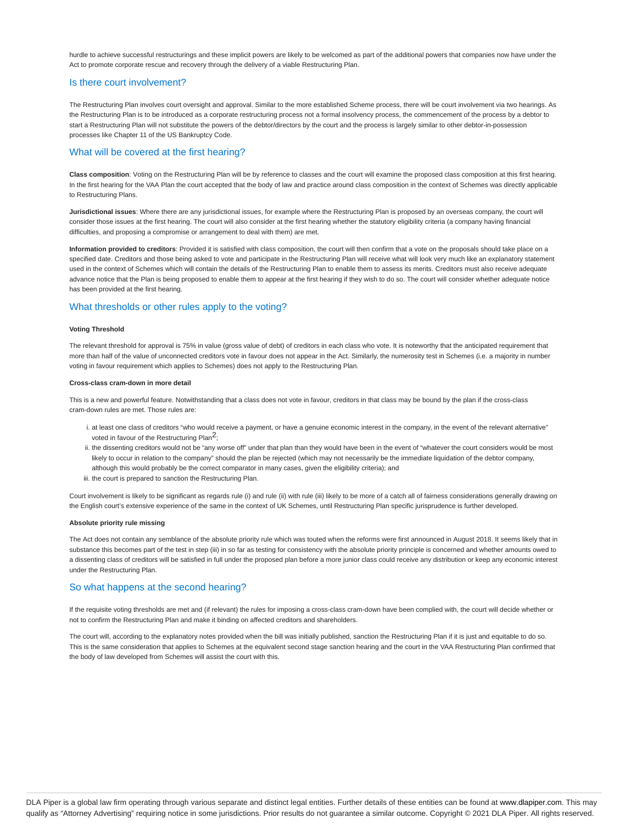hurdle to achieve successful restructurings and these implicit powers are likely to be welcomed as part of the additional powers that companies now have under the Act to promote corporate rescue and recovery through the delivery of a viable Restructuring Plan.

## Is there court involvement?

The Restructuring Plan involves court oversight and approval. Similar to the more established Scheme process, there will be court involvement via two hearings. As the Restructuring Plan is to be introduced as a corporate restructuring process not a formal insolvency process, the commencement of the process by a debtor to start a Restructuring Plan will not substitute the powers of the debtor/directors by the court and the process is largely similar to other debtor-in-possession processes like Chapter 11 of the US Bankruptcy Code.

## What will be covered at the first hearing?

**Class composition**: Voting on the Restructuring Plan will be by reference to classes and the court will examine the proposed class composition at this first hearing. In the first hearing for the VAA Plan the court accepted that the body of law and practice around class composition in the context of Schemes was directly applicable to Restructuring Plans.

**Jurisdictional issues**: Where there are any jurisdictional issues, for example where the Restructuring Plan is proposed by an overseas company, the court will consider those issues at the first hearing. The court will also consider at the first hearing whether the statutory eligibility criteria (a company having financial difficulties, and proposing a compromise or arrangement to deal with them) are met.

**Information provided to creditors**: Provided it is satisfied with class composition, the court will then confirm that a vote on the proposals should take place on a specified date. Creditors and those being asked to vote and participate in the Restructuring Plan will receive what will look very much like an explanatory statement used in the context of Schemes which will contain the details of the Restructuring Plan to enable them to assess its merits. Creditors must also receive adequate advance notice that the Plan is being proposed to enable them to appear at the first hearing if they wish to do so. The court will consider whether adequate notice has been provided at the first hearing.

# What thresholds or other rules apply to the voting?

#### **Voting Threshold**

The relevant threshold for approval is 75% in value (gross value of debt) of creditors in each class who vote. It is noteworthy that the anticipated requirement that more than half of the value of unconnected creditors vote in favour does not appear in the Act. Similarly, the numerosity test in Schemes (i.e. a majority in number voting in favour requirement which applies to Schemes) does not apply to the Restructuring Plan.

#### **Cross-class cram-down in more detail**

This is a new and powerful feature. Notwithstanding that a class does not vote in favour, creditors in that class may be bound by the plan if the cross-class cram-down rules are met. Those rules are:

- i. at least one class of creditors "who would receive a payment, or have a genuine economic interest in the company, in the event of the relevant alternative" voted in favour of the Restructuring Plan<sup>2</sup>;
- ii. the dissenting creditors would not be "any worse off" under that plan than they would have been in the event of "whatever the court considers would be most likely to occur in relation to the company" should the plan be rejected (which may not necessarily be the immediate liquidation of the debtor company, although this would probably be the correct comparator in many cases, given the eligibility criteria); and
- iii. the court is prepared to sanction the Restructuring Plan.

Court involvement is likely to be significant as regards rule (i) and rule (ii) with rule (iii) likely to be more of a catch all of fairness considerations generally drawing on the English court's extensive experience of the same in the context of UK Schemes, until Restructuring Plan specific jurisprudence is further developed.

#### **Absolute priority rule missing**

The Act does not contain any semblance of the absolute priority rule which was touted when the reforms were first announced in August 2018. It seems likely that in substance this becomes part of the test in step (iii) in so far as testing for consistency with the absolute priority principle is concerned and whether amounts owed to a dissenting class of creditors will be satisfied in full under the proposed plan before a more junior class could receive any distribution or keep any economic interest under the Restructuring Plan.

## So what happens at the second hearing?

If the requisite voting thresholds are met and (if relevant) the rules for imposing a cross-class cram-down have been complied with, the court will decide whether or not to confirm the Restructuring Plan and make it binding on affected creditors and shareholders.

The court will, according to the explanatory notes provided when the bill was initially published, sanction the Restructuring Plan if it is just and equitable to do so. This is the same consideration that applies to Schemes at the equivalent second stage sanction hearing and the court in the VAA Restructuring Plan confirmed that the body of law developed from Schemes will assist the court with this.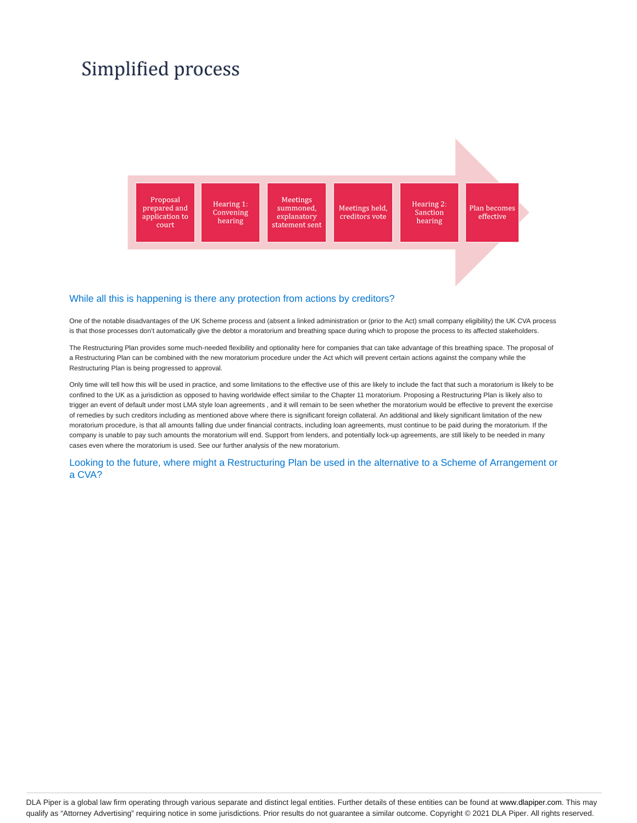# Simplified process



## While all this is happening is there any protection from actions by creditors?

One of the notable disadvantages of the UK Scheme process and (absent a linked administration or (prior to the Act) small company eligibility) the UK CVA process is that those processes don't automatically give the debtor a moratorium and breathing space during which to propose the process to its affected stakeholders.

The Restructuring Plan provides some much-needed flexibility and optionality here for companies that can take advantage of this breathing space. The proposal of a Restructuring Plan can be combined with the new moratorium procedure under the Act which will prevent certain actions against the company while the Restructuring Plan is being progressed to approval.

Only time will tell how this will be used in practice, and some limitations to the effective use of this are likely to include the fact that such a moratorium is likely to be confined to the UK as a jurisdiction as opposed to having worldwide effect similar to the Chapter 11 moratorium. Proposing a Restructuring Plan is likely also to trigger an event of default under most LMA style loan agreements , and it will remain to be seen whether the moratorium would be effective to prevent the exercise of remedies by such creditors including as mentioned above where there is significant foreign collateral. An additional and likely significant limitation of the new moratorium procedure, is that all amounts falling due under financial contracts, including loan agreements, must continue to be paid during the moratorium. If the company is unable to pay such amounts the moratorium will end. Support from lenders, and potentially lock-up agreements, are still likely to be needed in many cases even where the moratorium is used. See our further analysis of the new moratorium.

Looking to the future, where might a Restructuring Plan be used in the alternative to a Scheme of Arrangement or a CVA?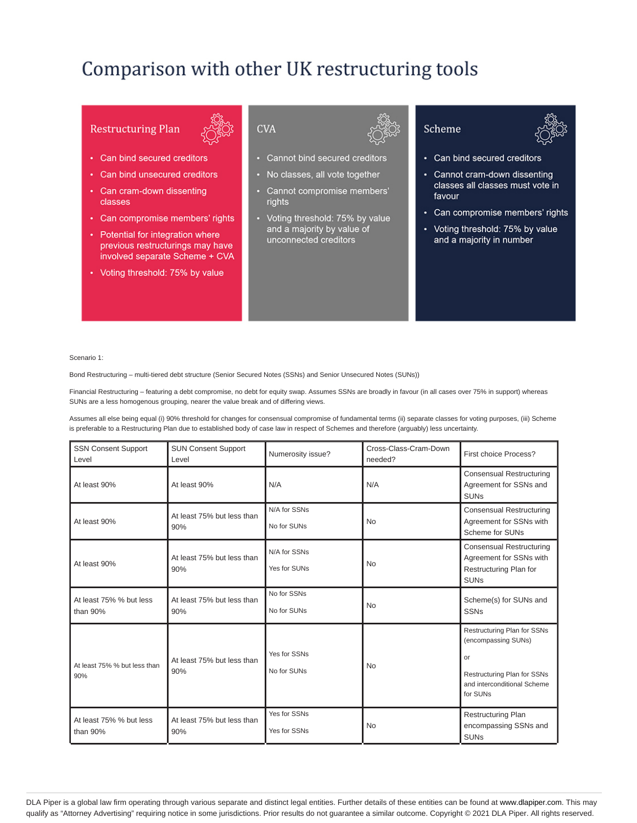# Comparison with other UK restructuring tools

# **Restructuring Plan**



- Can bind secured creditors
- Can bind unsecured creditors
- Can cram-down dissenting classes
- Can compromise members' rights
- Potential for integration where previous restructurings may have involved separate Scheme + CVA
- Voting threshold: 75% by value



- Cannot bind secured creditors
- No classes, all vote together
- Cannot compromise members' rights
- Voting threshold: 75% by value and a majority by value of unconnected creditors





- Can bind secured creditors
- Cannot cram-down dissenting classes all classes must vote in favour
- Can compromise members' rights
- Voting threshold: 75% by value and a majority in number

Scenario 1:

Bond Restructuring – multi-tiered debt structure (Senior Secured Notes (SSNs) and Senior Unsecured Notes (SUNs))

Financial Restructuring – featuring a debt compromise, no debt for equity swap. Assumes SSNs are broadly in favour (in all cases over 75% in support) whereas SUNs are a less homogenous grouping, nearer the value break and of differing views.

Assumes all else being equal (i) 90% threshold for changes for consensual compromise of fundamental terms (ii) separate classes for voting purposes, (iii) Scheme is preferable to a Restructuring Plan due to established body of case law in respect of Schemes and therefore (arguably) less uncertainty.

| <b>SSN Consent Support</b><br>Level | <b>SUN Consent Support</b><br>Level | Numerosity issue?            | Cross-Class-Cram-Down<br>needed? | First choice Process?                                                                                                              |
|-------------------------------------|-------------------------------------|------------------------------|----------------------------------|------------------------------------------------------------------------------------------------------------------------------------|
| At least 90%<br>At least 90%        |                                     | N/A                          | N/A                              | <b>Consensual Restructuring</b><br>Agreement for SSNs and<br><b>SUN<sub>s</sub></b>                                                |
| At least 90%                        | At least 75% but less than<br>90%   | N/A for SSNs<br>No for SUNs  | <b>No</b>                        | <b>Consensual Restructuring</b><br>Agreement for SSNs with<br>Scheme for SUNs                                                      |
| At least 90%                        | At least 75% but less than<br>90%   | N/A for SSNs<br>Yes for SUNs | <b>No</b>                        | <b>Consensual Restructuring</b><br>Agreement for SSNs with<br>Restructuring Plan for<br><b>SUNs</b>                                |
| At least 75% % but less<br>than 90% | At least 75% but less than<br>90%   | No for SSNs<br>No for SUNs   | <b>No</b>                        | Scheme(s) for SUNs and<br><b>SSNs</b>                                                                                              |
| At least 75% % but less than<br>90% | At least 75% but less than<br>90%   | Yes for SSNs<br>No for SUNs  | <b>No</b>                        | Restructuring Plan for SSNs<br>(encompassing SUNs)<br>or<br>Restructuring Plan for SSNs<br>and interconditional Scheme<br>for SUNs |
| At least 75% % but less<br>than 90% | At least 75% but less than<br>90%   | Yes for SSNs<br>Yes for SSNs | <b>No</b>                        | <b>Restructuring Plan</b><br>encompassing SSNs and<br><b>SUNs</b>                                                                  |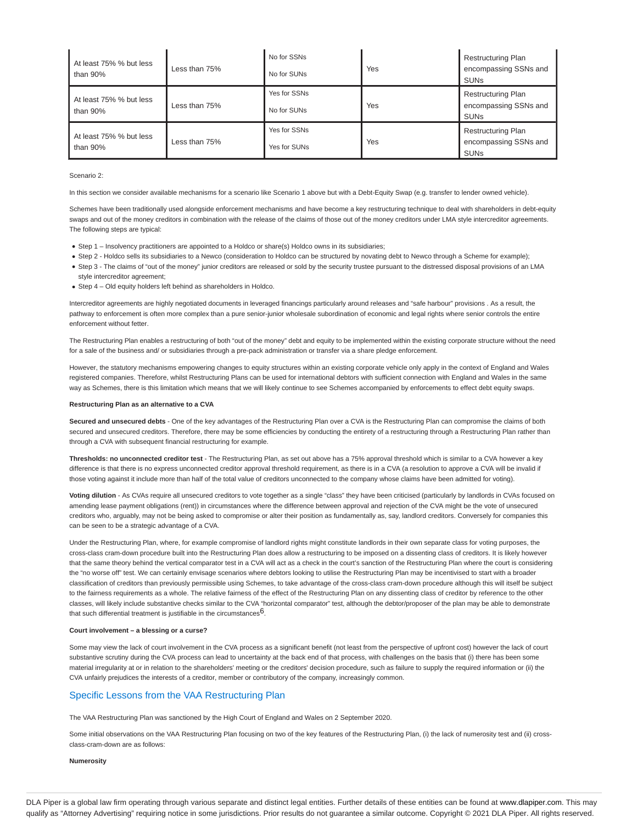| At least 75% % but less<br>than $90\%$ | Less than 75% | No for SSNs<br>No for SUNs   | Yes | <b>Restructuring Plan</b><br>encompassing SSNs and<br><b>SUN<sub>s</sub></b> |
|----------------------------------------|---------------|------------------------------|-----|------------------------------------------------------------------------------|
| At least 75% % but less<br>than 90%    | Less than 75% | Yes for SSNs<br>No for SUNs  | Yes | <b>Restructuring Plan</b><br>encompassing SSNs and<br><b>SUN<sub>s</sub></b> |
| At least 75% % but less<br>than $90\%$ | Less than 75% | Yes for SSNs<br>Yes for SUNs | Yes | <b>Restructuring Plan</b><br>encompassing SSNs and<br><b>SUN<sub>s</sub></b> |

### Scenario 2:

In this section we consider available mechanisms for a scenario like Scenario 1 above but with a Debt-Equity Swap (e.g. transfer to lender owned vehicle).

Schemes have been traditionally used alongside enforcement mechanisms and have become a key restructuring technique to deal with shareholders in debt-equity swaps and out of the money creditors in combination with the release of the claims of those out of the money creditors under LMA style intercreditor agreements. The following steps are typical:

- Step 1 Insolvency practitioners are appointed to a Holdco or share(s) Holdco owns in its subsidiaries;
- Step 2 Holdco sells its subsidiaries to a Newco (consideration to Holdco can be structured by novating debt to Newco through a Scheme for example);
- Step 3 The claims of "out of the money" junior creditors are released or sold by the security trustee pursuant to the distressed disposal provisions of an LMA
- style intercreditor agreement;
- Step 4 Old equity holders left behind as shareholders in Holdco.

Intercreditor agreements are highly negotiated documents in leveraged financings particularly around releases and "safe harbour" provisions . As a result, the pathway to enforcement is often more complex than a pure senior-junior wholesale subordination of economic and legal rights where senior controls the entire enforcement without fetter.

The Restructuring Plan enables a restructuring of both "out of the money" debt and equity to be implemented within the existing corporate structure without the need for a sale of the business and/ or subsidiaries through a pre-pack administration or transfer via a share pledge enforcement.

However, the statutory mechanisms empowering changes to equity structures within an existing corporate vehicle only apply in the context of England and Wales registered companies. Therefore, whilst Restructuring Plans can be used for international debtors with sufficient connection with England and Wales in the same way as Schemes, there is this limitation which means that we will likely continue to see Schemes accompanied by enforcements to effect debt equity swaps.

## **Restructuring Plan as an alternative to a CVA**

Secured and unsecured debts - One of the key advantages of the Restructuring Plan over a CVA is the Restructuring Plan can compromise the claims of both secured and unsecured creditors. Therefore, there may be some efficiencies by conducting the entirety of a restructuring through a Restructuring Plan rather than through a CVA with subsequent financial restructuring for example.

**Thresholds: no unconnected creditor test** - The Restructuring Plan, as set out above has a 75% approval threshold which is similar to a CVA however a key difference is that there is no express unconnected creditor approval threshold requirement, as there is in a CVA (a resolution to approve a CVA will be invalid if those voting against it include more than half of the total value of creditors unconnected to the company whose claims have been admitted for voting).

Voting dilution - As CVAs require all unsecured creditors to vote together as a single "class" they have been criticised (particularly by landlords in CVAs focused on amending lease payment obligations (rent)) in circumstances where the difference between approval and rejection of the CVA might be the vote of unsecured creditors who, arguably, may not be being asked to compromise or alter their position as fundamentally as, say, landlord creditors. Conversely for companies this can be seen to be a strategic advantage of a CVA.

Under the Restructuring Plan, where, for example compromise of landlord rights might constitute landlords in their own separate class for voting purposes, the cross-class cram-down procedure built into the Restructuring Plan does allow a restructuring to be imposed on a dissenting class of creditors. It is likely however that the same theory behind the vertical comparator test in a CVA will act as a check in the court's sanction of the Restructuring Plan where the court is considering the "no worse off" test. We can certainly envisage scenarios where debtors looking to utilise the Restructuring Plan may be incentivised to start with a broader classification of creditors than previously permissible using Schemes, to take advantage of the cross-class cram-down procedure although this will itself be subject to the fairness requirements as a whole. The relative fairness of the effect of the Restructuring Plan on any dissenting class of creditor by reference to the other classes, will likely include substantive checks similar to the CVA "horizontal comparator" test, although the debtor/proposer of the plan may be able to demonstrate that such differential treatment is justifiable in the circumstances $6$ .

### **Court involvement – a blessing or a curse?**

Some may view the lack of court involvement in the CVA process as a significant benefit (not least from the perspective of upfront cost) however the lack of court substantive scrutiny during the CVA process can lead to uncertainty at the back end of that process, with challenges on the basis that (i) there has been some material irregularity at or in relation to the shareholders' meeting or the creditors' decision procedure, such as failure to supply the required information or (ii) the CVA unfairly prejudices the interests of a creditor, member or contributory of the company, increasingly common.

## Specific Lessons from the VAA Restructuring Plan

The VAA Restructuring Plan was sanctioned by the High Court of England and Wales on 2 September 2020.

Some initial observations on the VAA Restructuring Plan focusing on two of the key features of the Restructuring Plan, (i) the lack of numerosity test and (ii) crossclass-cram-down are as follows:

#### **Numerosity**

DLA Piper is a global law firm operating through various separate and distinct legal entities. Further details of these entities can be found at www.dlapiper.com. This may qualify as "Attorney Advertising" requiring notice in some jurisdictions. Prior results do not guarantee a similar outcome. Copyright © 2021 DLA Piper. All rights reserved.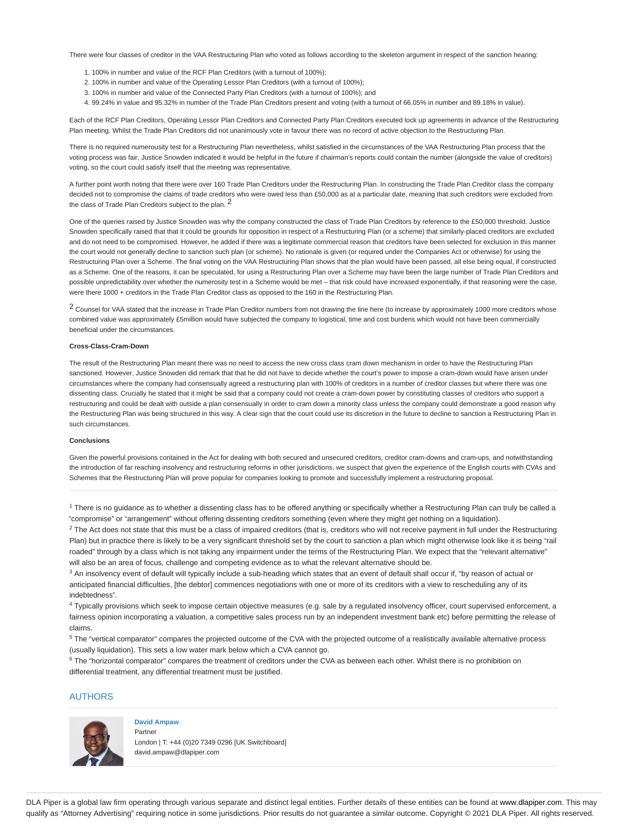There were four classes of creditor in the VAA Restructuring Plan who voted as follows according to the skeleton argument in respect of the sanction hearing:

- 1. 100% in number and value of the RCF Plan Creditors (with a turnout of 100%);
- 2. 100% in number and value of the Operating Lessor Plan Creditors (with a turnout of 100%);
- 3. 100% in number and value of the Connected Party Plan Creditors (with a turnout of 100%); and
- 4. 99.24% in value and 95.32% in number of the Trade Plan Creditors present and voting (with a turnout of 66.05% in number and 89.18% in value).

Each of the RCF Plan Creditors, Operating Lessor Plan Creditors and Connected Party Plan Creditors executed lock up agreements in advance of the Restructuring Plan meeting. Whilst the Trade Plan Creditors did not unanimously vote in favour there was no record of active objection to the Restructuring Plan.

There is no required numerousity test for a Restructuring Plan nevertheless, whilst satisfied in the circumstances of the VAA Restructuring Plan process that the voting process was fair, Justice Snowden indicated it would be helpful in the future if chairman's reports could contain the number (alongside the value of creditors) voting, so the court could satisfy itself that the meeting was representative.

A further point worth noting that there were over 160 Trade Plan Creditors under the Restructuring Plan. In constructing the Trade Plan Creditor class the company decided not to compromise the claims of trade creditors who were owed less than £50,000 as at a particular date, meaning that such creditors were excluded from the class of Trade Plan Creditors subject to the plan. <sup>2</sup>

One of the queries raised by Justice Snowden was why the company constructed the class of Trade Plan Creditors by reference to the £50,000 threshold. Justice Snowden specifically raised that that it could be grounds for opposition in respect of a Restructuring Plan (or a scheme) that similarly-placed creditors are excluded and do not need to be compromised. However, he added if there was a legitimate commercial reason that creditors have been selected for exclusion in this manner the court would not generally decline to sanction such plan (or scheme). No rationale is given (or required under the Companies Act or otherwise) for using the Restructuring Plan over a Scheme. The final voting on the VAA Restructuring Plan shows that the plan would have been passed, all else being equal, if constructed as a Scheme. One of the reasons, it can be speculated, for using a Restructuring Plan over a Scheme may have been the large number of Trade Plan Creditors and possible unpredictability over whether the numerosity test in a Scheme would be met – that risk could have increased exponentially, if that reasoning were the case, were there 1000 + creditors in the Trade Plan Creditor class as opposed to the 160 in the Restructuring Plan.

 $^2$  Counsel for VAA stated that the increase in Trade Plan Creditor numbers from not drawing the line here (to increase by approximately 1000 more creditors whose combined value was approximately £5million would have subjected the company to logistical, time and cost burdens which would not have been commercially beneficial under the circumstances.

### **Cross-Class-Cram-Down**

The result of the Restructuring Plan meant there was no need to access the new cross class cram down mechanism in order to have the Restructuring Plan sanctioned. However, Justice Snowden did remark that that he did not have to decide whether the court's power to impose a cram-down would have arisen under circumstances where the company had consensually agreed a restructuring plan with 100% of creditors in a number of creditor classes but where there was one dissenting class. Crucially he stated that it might be said that a company could not create a cram-down power by constituting classes of creditors who support a restructuring and could be dealt with outside a plan consensually in order to cram down a minority class unless the company could demonstrate a good reason why the Restructuring Plan was being structured in this way. A clear sign that the court could use its discretion in the future to decline to sanction a Restructuring Plan in such circumstances.

### **Conclusions**

Given the powerful provisions contained in the Act for dealing with both secured and unsecured creditors, creditor cram-downs and cram-ups, and notwithstanding the introduction of far reaching insolvency and restructuring reforms in other jurisdictions, we suspect that given the experience of the English courts with CVAs and Schemes that the Restructuring Plan will prove popular for companies looking to promote and successfully implement a restructuring proposal.

 $1$  There is no guidance as to whether a dissenting class has to be offered anything or specifically whether a Restructuring Plan can truly be called a "compromise" or "arrangement" without offering dissenting creditors something (even where they might get nothing on a liquidation).

 $2$  The Act does not state that this must be a class of impaired creditors (that is, creditors who will not receive payment in full under the Restructuring Plan) but in practice there is likely to be a very significant threshold set by the court to sanction a plan which might otherwise look like it is being "rail roaded" through by a class which is not taking any impairment under the terms of the Restructuring Plan. We expect that the "relevant alternative" will also be an area of focus, challenge and competing evidence as to what the relevant alternative should be.

 $^3$  An insolvency event of default will typically include a sub-heading which states that an event of default shall occur if, "by reason of actual or anticipated financial difficulties, [the debtor] commences negotiations with one or more of its creditors with a view to rescheduling any of its indebtedness".

<sup>4</sup> Typically provisions which seek to impose certain objective measures (e.g. sale by a regulated insolvency officer, court supervised enforcement, a fairness opinion incorporating a valuation, a competitive sales process run by an independent investment bank etc) before permitting the release of claims.

<sup>5</sup> The "vertical comparator" compares the projected outcome of the CVA with the projected outcome of a realistically available alternative process (usually liquidation). This sets a low water mark below which a CVA cannot go.

 $6$  The "horizontal comparator" compares the treatment of creditors under the CVA as between each other. Whilst there is no prohibition on differential treatment, any differential treatment must be justified.

# AUTHORS



Partner London | T: +44 (0)20 7349 0296 [UK Switchboard] david.ampaw@dlapiper.com

**David Ampaw**

DLA Piper is a global law firm operating through various separate and distinct legal entities. Further details of these entities can be found at www.dlapiper.com. This may qualify as "Attorney Advertising" requiring notice in some jurisdictions. Prior results do not guarantee a similar outcome. Copyright © 2021 DLA Piper. All rights reserved.